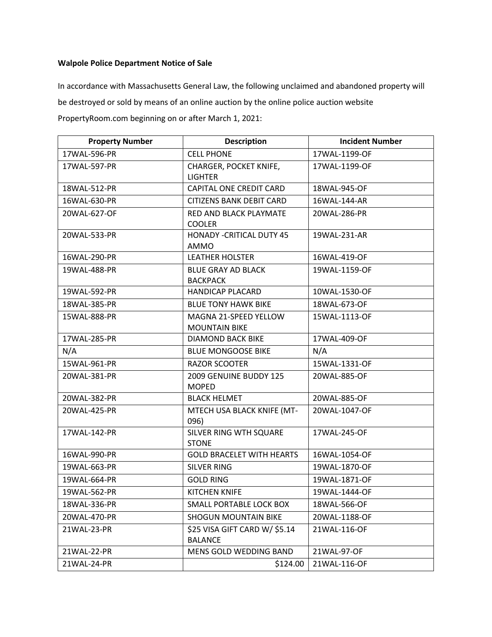## **Walpole Police Department Notice of Sale**

In accordance with Massachusetts General Law, the following unclaimed and abandoned property will be destroyed or sold by means of an online auction by the online police auction website PropertyRoom.com beginning on or after March 1, 2021:

| <b>Property Number</b> | <b>Description</b>                              | <b>Incident Number</b> |
|------------------------|-------------------------------------------------|------------------------|
| 17WAL-596-PR           | <b>CELL PHONE</b>                               | 17WAL-1199-OF          |
| 17WAL-597-PR           | CHARGER, POCKET KNIFE,                          | 17WAL-1199-OF          |
|                        | <b>LIGHTER</b>                                  |                        |
| 18WAL-512-PR           | <b>CAPITAL ONE CREDIT CARD</b>                  | 18WAL-945-OF           |
| 16WAL-630-PR           | <b>CITIZENS BANK DEBIT CARD</b>                 | 16WAL-144-AR           |
| 20WAL-627-OF           | RED AND BLACK PLAYMATE<br><b>COOLER</b>         | 20WAL-286-PR           |
| 20WAL-533-PR           | <b>HONADY - CRITICAL DUTY 45</b><br><b>AMMO</b> | 19WAL-231-AR           |
| 16WAL-290-PR           | <b>LEATHER HOLSTER</b>                          | 16WAL-419-OF           |
| 19WAL-488-PR           | <b>BLUE GRAY AD BLACK</b><br><b>BACKPACK</b>    | 19WAL-1159-OF          |
| 19WAL-592-PR           | <b>HANDICAP PLACARD</b>                         | 10WAL-1530-OF          |
| 18WAL-385-PR           | <b>BLUE TONY HAWK BIKE</b>                      | 18WAL-673-OF           |
| 15WAL-888-PR           | MAGNA 21-SPEED YELLOW<br><b>MOUNTAIN BIKE</b>   | 15WAL-1113-OF          |
| 17WAL-285-PR           | <b>DIAMOND BACK BIKE</b>                        | 17WAL-409-OF           |
| N/A                    | <b>BLUE MONGOOSE BIKE</b>                       | N/A                    |
| 15WAL-961-PR           | <b>RAZOR SCOOTER</b>                            | 15WAL-1331-OF          |
| 20WAL-381-PR           | 2009 GENUINE BUDDY 125<br><b>MOPED</b>          | 20WAL-885-OF           |
| 20WAL-382-PR           | <b>BLACK HELMET</b>                             | 20WAL-885-OF           |
| 20WAL-425-PR           | MTECH USA BLACK KNIFE (MT-<br>096)              | 20WAL-1047-OF          |
| 17WAL-142-PR           | SILVER RING WTH SQUARE<br><b>STONE</b>          | 17WAL-245-OF           |
| 16WAL-990-PR           | <b>GOLD BRACELET WITH HEARTS</b>                | 16WAL-1054-OF          |
| 19WAL-663-PR           | <b>SILVER RING</b>                              | 19WAL-1870-OF          |
| 19WAL-664-PR           | <b>GOLD RING</b>                                | 19WAL-1871-OF          |
| 19WAL-562-PR           | <b>KITCHEN KNIFE</b>                            | 19WAL-1444-OF          |
| 18WAL-336-PR           | SMALL PORTABLE LOCK BOX                         | 18WAL-566-OF           |
| 20WAL-470-PR           | <b>SHOGUN MOUNTAIN BIKE</b>                     | 20WAL-1188-OF          |
| 21WAL-23-PR            | \$25 VISA GIFT CARD W/ \$5.14<br><b>BALANCE</b> | 21WAL-116-OF           |
| 21WAL-22-PR            | MENS GOLD WEDDING BAND                          | 21WAL-97-OF            |
| 21WAL-24-PR            | \$124.00                                        | 21WAL-116-OF           |